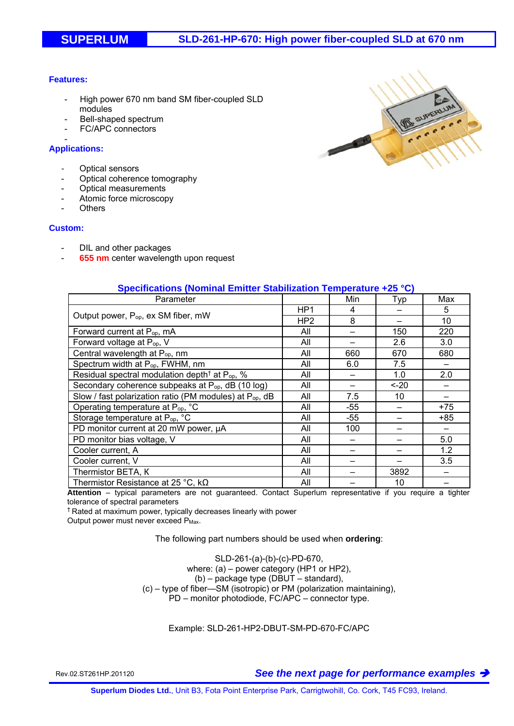### **Features:**

- High power 670 nm band SM fiber-coupled SLD modules
- Bell-shaped spectrum
- FC/APC connectors

#### - **Applications:**

- **Optical sensors**
- Optical coherence tomography
- Optical measurements
- Atomic force microscopy
- **Others**

#### **Custom:**

- DIL and other packages
- **655 nm** center wavelength upon request

| Specifications (Nominal Emitter Stabilization Temperature +25 °C)   |                 |     |         |     |
|---------------------------------------------------------------------|-----------------|-----|---------|-----|
| Parameter                                                           |                 | Min | Typ     | Max |
| Output power, P <sub>op</sub> , ex SM fiber, mW                     | HP <sub>1</sub> | 4   |         | 5   |
|                                                                     | HP <sub>2</sub> | 8   |         | 10  |
| Forward current at P <sub>op</sub> , mA                             | All             |     | 150     | 220 |
| Forward voltage at P <sub>op</sub> , V                              | All             |     | 2.6     | 3.0 |
| Central wavelength at P <sub>op</sub> , nm                          | All             | 660 | 670     | 680 |
| Spectrum width at P <sub>op</sub> , FWHM, nm                        | All             | 6.0 | 7.5     |     |
| Residual spectral modulation depth <sup>†</sup> at $P_{op}$ , %     | All             |     | 1.0     | 2.0 |
| Secondary coherence subpeaks at P <sub>op</sub> , dB (10 log)       | All             |     | $< -20$ |     |
| Slow / fast polarization ratio (PM modules) at P <sub>op</sub> , dB | All             | 7.5 | 10      |     |
| Operating temperature at P <sub>op</sub> , °C                       | All             | -55 |         | +75 |
| Storage temperature at P <sub>op</sub> , °C                         | All             | -55 |         | +85 |
| PD monitor current at 20 mW power, µA                               | All             | 100 |         |     |
| PD monitor bias voltage, V                                          | All             |     |         | 5.0 |
| Cooler current, A                                                   | All             |     |         | 1.2 |
| Cooler current, V                                                   | All             |     |         | 3.5 |
| Thermistor BETA, K                                                  | All             |     | 3892    |     |
| Thermistor Resistance at 25 °C, $k\Omega$                           | All             |     | 10      |     |

# Thermistor Resistance at 25 °C, kΩ All | — 10 | —

**Attention** – typical parameters are not guaranteed. Contact Superlum representative if you require a tighter tolerance of spectral parameters

† Rated at maximum power, typically decreases linearly with power

Output power must never exceed P<sub>Max</sub>.

The following part numbers should be used when **ordering**:

SLD-261-(a)-(b)-(c)-PD-670, where: (a) – power category (HP1 or HP2), (b) – package type (DBUT – standard), (c) – type of fiber—SM (isotropic) or PM (polarization maintaining), PD – monitor photodiode, FC/APC – connector type.

Example: SLD-261-HP2-DBUT-SM-PD-670-FC/APC

Rev.02.ST261HP.201120 *See the next page for performance examples*